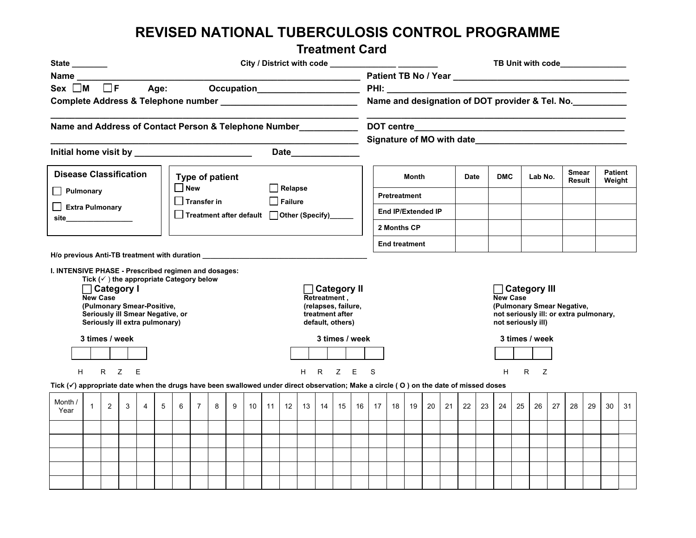## **REVISED NATIONAL TUBERCULOSIS CONTROL PROGRAMME**

## **Treatment Card**

| State <b>State</b>                                                                                                                        |                                                                                                                                                                                                                                                                                                 |                |                                                                                                                       |                |   |   |                                                    |                |                                                 |                 |                |    |                 |                                                                                                  |       |                                                 |                           |             |    | TB Unit with code_______________ |    |                                                                                                                                                   |    |            |    |         |    |                        |    |    |                   |  |
|-------------------------------------------------------------------------------------------------------------------------------------------|-------------------------------------------------------------------------------------------------------------------------------------------------------------------------------------------------------------------------------------------------------------------------------------------------|----------------|-----------------------------------------------------------------------------------------------------------------------|----------------|---|---|----------------------------------------------------|----------------|-------------------------------------------------|-----------------|----------------|----|-----------------|--------------------------------------------------------------------------------------------------|-------|-------------------------------------------------|---------------------------|-------------|----|----------------------------------|----|---------------------------------------------------------------------------------------------------------------------------------------------------|----|------------|----|---------|----|------------------------|----|----|-------------------|--|
|                                                                                                                                           | <b>Name</b> and the state of the state of the state of the state of the state of the state of the state of the state of the state of the state of the state of the state of the state of the state of the state of the state of the<br>Age: Occupation______________________<br>$Sex \t M \t F$ |                |                                                                                                                       |                |   |   |                                                    |                |                                                 |                 |                |    |                 |                                                                                                  |       |                                                 |                           |             |    |                                  |    |                                                                                                                                                   |    |            |    |         |    |                        |    |    |                   |  |
|                                                                                                                                           |                                                                                                                                                                                                                                                                                                 |                |                                                                                                                       |                |   |   |                                                    |                |                                                 |                 |                |    |                 |                                                                                                  |       |                                                 |                           |             |    |                                  |    |                                                                                                                                                   |    |            |    |         |    |                        |    |    |                   |  |
|                                                                                                                                           |                                                                                                                                                                                                                                                                                                 |                |                                                                                                                       |                |   |   |                                                    |                |                                                 |                 |                |    |                 |                                                                                                  |       | Name and designation of DOT provider & Tel. No. |                           |             |    |                                  |    |                                                                                                                                                   |    |            |    |         |    |                        |    |    |                   |  |
| Name and Address of Contact Person & Telephone Number                                                                                     |                                                                                                                                                                                                                                                                                                 |                |                                                                                                                       |                |   |   |                                                    |                |                                                 |                 |                |    |                 |                                                                                                  |       |                                                 |                           |             |    |                                  |    |                                                                                                                                                   |    |            |    |         |    |                        |    |    |                   |  |
|                                                                                                                                           |                                                                                                                                                                                                                                                                                                 |                |                                                                                                                       |                |   |   |                                                    |                |                                                 |                 |                |    |                 |                                                                                                  |       |                                                 | Signature of MO with date |             |    |                                  |    |                                                                                                                                                   |    |            |    |         |    |                        |    |    |                   |  |
| <b>Disease Classification</b><br>Type of patient                                                                                          |                                                                                                                                                                                                                                                                                                 |                |                                                                                                                       |                |   |   |                                                    |                |                                                 |                 |                |    |                 |                                                                                                  |       |                                                 | <b>Date</b><br>Month      |             |    |                                  |    |                                                                                                                                                   |    | <b>DMC</b> |    | Lab No. |    | <b>Smear</b><br>Result |    |    | Patient<br>Weight |  |
| $\square$ New<br>$\Box$ Pulmonary                                                                                                         |                                                                                                                                                                                                                                                                                                 |                |                                                                                                                       |                |   |   |                                                    | $\Box$ Relapse |                                                 |                 |                |    |                 | <b>Pretreatment</b>                                                                              |       |                                                 |                           |             |    |                                  |    |                                                                                                                                                   |    |            |    |         |    |                        |    |    |                   |  |
| Extra Pulmonary<br>site__________________                                                                                                 |                                                                                                                                                                                                                                                                                                 |                |                                                                                                                       |                |   |   | $\Box$ Transfer in                                 |                |                                                 |                 | $\Box$ Failure |    |                 |                                                                                                  |       |                                                 |                           |             |    |                                  |    |                                                                                                                                                   |    |            |    |         |    |                        |    |    |                   |  |
|                                                                                                                                           |                                                                                                                                                                                                                                                                                                 |                |                                                                                                                       |                |   |   |                                                    |                | □ Treatment after default □ Other (Specify)____ |                 |                |    |                 |                                                                                                  |       |                                                 | End IP/Extended IP        |             |    |                                  |    |                                                                                                                                                   |    |            |    |         |    |                        |    |    |                   |  |
|                                                                                                                                           |                                                                                                                                                                                                                                                                                                 |                |                                                                                                                       |                |   |   |                                                    |                |                                                 |                 |                |    |                 |                                                                                                  |       |                                                 |                           | 2 Months CP |    |                                  |    |                                                                                                                                                   |    |            |    |         |    |                        |    |    |                   |  |
| H/o previous Anti-TB treatment with duration the controller controller and the controller controller than 100 m                           |                                                                                                                                                                                                                                                                                                 |                |                                                                                                                       |                |   |   |                                                    |                |                                                 |                 |                |    |                 |                                                                                                  |       |                                                 | <b>End treatment</b>      |             |    |                                  |    |                                                                                                                                                   |    |            |    |         |    |                        |    |    |                   |  |
| I. INTENSIVE PHASE - Prescribed regimen and dosages:                                                                                      | <b>New Case</b><br>3 times / week                                                                                                                                                                                                                                                               |                | $\Box$ Category I<br>(Pulmonary Smear-Positive,<br>Seriously ill Smear Negative, or<br>Seriously ill extra pulmonary) |                |   |   | Tick $(\checkmark)$ the appropriate Category below |                |                                                 |                 |                |    |                 | $\Box$ Category II<br>Retreatment,<br>(relapses, failure,<br>treatment after<br>default, others) |       | 3 times / week                                  |                           |             |    |                                  |    | □ Category III<br><b>New Case</b><br>(Pulmonary Smear Negative,<br>not seriously ill: or extra pulmonary,<br>not seriously ill)<br>3 times / week |    |            |    |         |    |                        |    |    |                   |  |
|                                                                                                                                           |                                                                                                                                                                                                                                                                                                 |                |                                                                                                                       |                |   |   |                                                    |                |                                                 |                 |                |    |                 |                                                                                                  |       |                                                 |                           |             |    |                                  |    |                                                                                                                                                   |    |            |    |         |    |                        |    |    |                   |  |
| H<br>Tick (v) appropriate date when the drugs have been swallowed under direct observation; Make a circle (O) on the date of missed doses |                                                                                                                                                                                                                                                                                                 | $R$ $Z$        |                                                                                                                       | E              |   |   |                                                    |                |                                                 |                 |                |    | H               |                                                                                                  | R Z E |                                                 | S                         |             |    |                                  |    |                                                                                                                                                   |    | н          | R. | Ζ       |    |                        |    |    |                   |  |
| Month /<br>Year                                                                                                                           | $\mathbf{1}$                                                                                                                                                                                                                                                                                    | $\overline{2}$ | 3                                                                                                                     | $\overline{4}$ | 5 | 6 | $\overline{7}$                                     | 8              | 9                                               | 10 <sup>1</sup> | 11             | 12 | 13 <sup>1</sup> | 14                                                                                               | 15    | 16                                              | 17 <sup>1</sup>           | 18          | 19 | 20                               | 21 | 22                                                                                                                                                | 23 | 24         | 25 | 26      | 27 | 28                     | 29 | 30 | 31                |  |
|                                                                                                                                           |                                                                                                                                                                                                                                                                                                 |                |                                                                                                                       |                |   |   |                                                    |                |                                                 |                 |                |    |                 |                                                                                                  |       |                                                 |                           |             |    |                                  |    |                                                                                                                                                   |    |            |    |         |    |                        |    |    |                   |  |
|                                                                                                                                           |                                                                                                                                                                                                                                                                                                 |                |                                                                                                                       |                |   |   |                                                    |                |                                                 |                 |                |    |                 |                                                                                                  |       |                                                 |                           |             |    |                                  |    |                                                                                                                                                   |    |            |    |         |    |                        |    |    |                   |  |
|                                                                                                                                           |                                                                                                                                                                                                                                                                                                 |                |                                                                                                                       |                |   |   |                                                    |                |                                                 |                 |                |    |                 |                                                                                                  |       |                                                 |                           |             |    |                                  |    |                                                                                                                                                   |    |            |    |         |    |                        |    |    |                   |  |
|                                                                                                                                           |                                                                                                                                                                                                                                                                                                 |                |                                                                                                                       |                |   |   |                                                    |                |                                                 |                 |                |    |                 |                                                                                                  |       |                                                 |                           |             |    |                                  |    |                                                                                                                                                   |    |            |    |         |    |                        |    |    |                   |  |
|                                                                                                                                           |                                                                                                                                                                                                                                                                                                 |                |                                                                                                                       |                |   |   |                                                    |                |                                                 |                 |                |    |                 |                                                                                                  |       |                                                 |                           |             |    |                                  |    |                                                                                                                                                   |    |            |    |         |    |                        |    |    |                   |  |